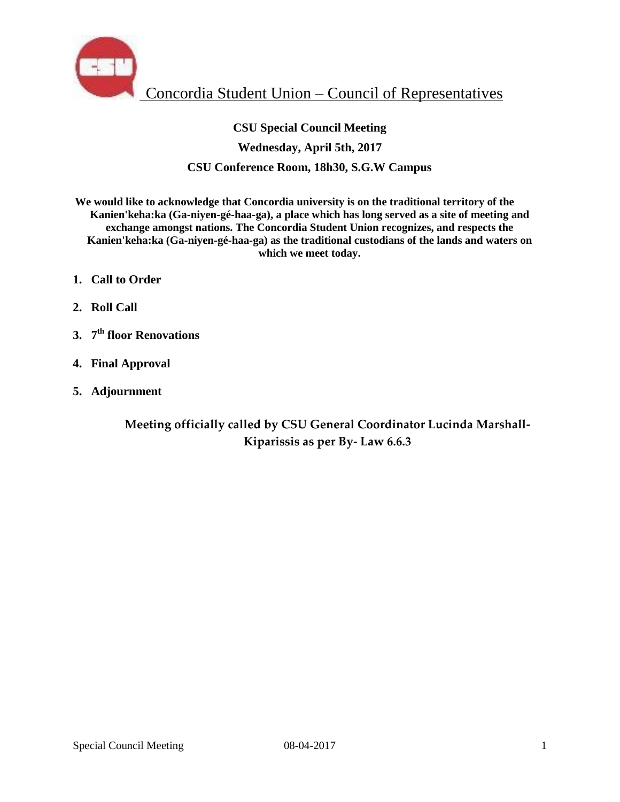

# **CSU Special Council Meeting Wednesday, April 5th, 2017 CSU Conference Room, 18h30, S.G.W Campus**

**We would like to acknowledge that Concordia university is on the traditional territory of the Kanien'keha:ka (Ga-niyen-gé-haa-ga), a place which has long served as a site of meeting and exchange amongst nations. The Concordia Student Union recognizes, and respects the Kanien'keha:ka (Ga-niyen-gé-haa-ga) as the traditional custodians of the lands and waters on which we meet today.** 

- **1. Call to Order**
- **2. Roll Call**
- **3. 7 th floor Renovations**
- **4. Final Approval**
- **5. Adjournment**

**Meeting officially called by CSU General Coordinator Lucinda Marshall-Kiparissis as per By- Law 6.6.3**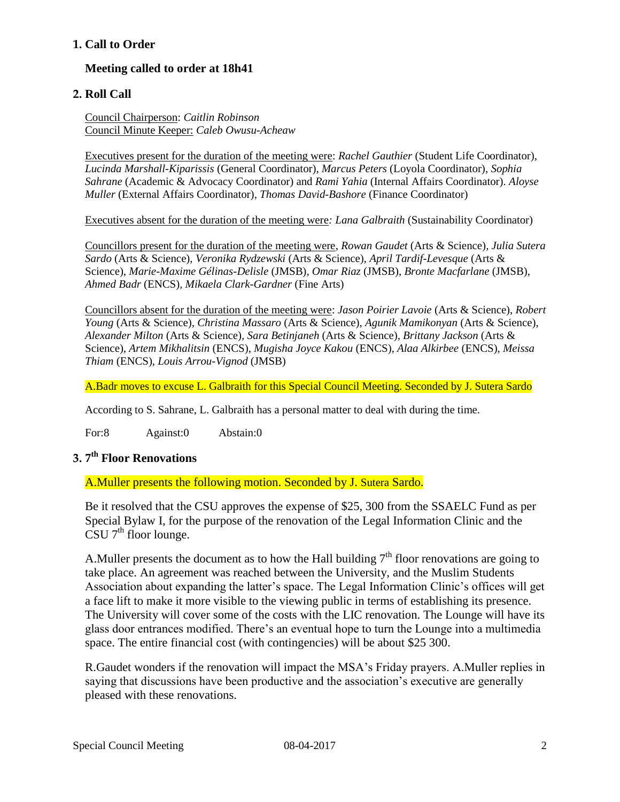### **1. Call to Order**

## **Meeting called to order at 18h41**

### **2. Roll Call**

Council Chairperson: *Caitlin Robinson* Council Minute Keeper: *Caleb Owusu-Acheaw*

Executives present for the duration of the meeting were: *Rachel Gauthier* (Student Life Coordinator), *Lucinda Marshall-Kiparissis* (General Coordinator), *Marcus Peters* (Loyola Coordinator), *Sophia Sahrane* (Academic & Advocacy Coordinator) and *Rami Yahia* (Internal Affairs Coordinator). *Aloyse Muller* (External Affairs Coordinator)*, Thomas David-Bashore* (Finance Coordinator)

Executives absent for the duration of the meeting were*: Lana Galbraith* (Sustainability Coordinator)

Councillors present for the duration of the meeting were, *Rowan Gaudet* (Arts & Science)*, Julia Sutera Sardo* (Arts & Science), *Veronika Rydzewski* (Arts & Science), *April Tardif-Levesque* (Arts & Science), *Marie-Maxime Gélinas-Delisle* (JMSB)*, Omar Riaz* (JMSB), *Bronte Macfarlane* (JMSB), *Ahmed Badr* (ENCS)*, Mikaela Clark-Gardner* (Fine Arts)

Councillors absent for the duration of the meeting were: *Jason Poirier Lavoie* (Arts & Science), *Robert Young* (Arts & Science)*, Christina Massaro* (Arts & Science), *Agunik Mamikonyan* (Arts & Science), *Alexander Milton* (Arts & Science)*, Sara Betinjaneh* (Arts & Science)*, Brittany Jackson* (Arts & Science), *Artem Mikhalitsin* (ENCS), *Mugisha Joyce Kakou* (ENCS), *Alaa Alkirbee* (ENCS), *Meissa Thiam* (ENCS), *Louis Arrou-Vignod* (JMSB)

A.Badr moves to excuse L. Galbraith for this Special Council Meeting. Seconded by J. Sutera Sardo

According to S. Sahrane, L. Galbraith has a personal matter to deal with during the time.

For:8 Against:0 Abstain:0

# **3. 7 th Floor Renovations**

A.Muller presents the following motion. Seconded by J. Sutera Sardo.

Be it resolved that the CSU approves the expense of \$25, 300 from the SSAELC Fund as per Special Bylaw I, for the purpose of the renovation of the Legal Information Clinic and the  $\mathrm{CSU}$  7<sup>th</sup> floor lounge.

A. Muller presents the document as to how the Hall building  $7<sup>th</sup>$  floor renovations are going to take place. An agreement was reached between the University, and the Muslim Students Association about expanding the latter's space. The Legal Information Clinic's offices will get a face lift to make it more visible to the viewing public in terms of establishing its presence. The University will cover some of the costs with the LIC renovation. The Lounge will have its glass door entrances modified. There's an eventual hope to turn the Lounge into a multimedia space. The entire financial cost (with contingencies) will be about \$25 300.

R.Gaudet wonders if the renovation will impact the MSA's Friday prayers. A.Muller replies in saying that discussions have been productive and the association's executive are generally pleased with these renovations.